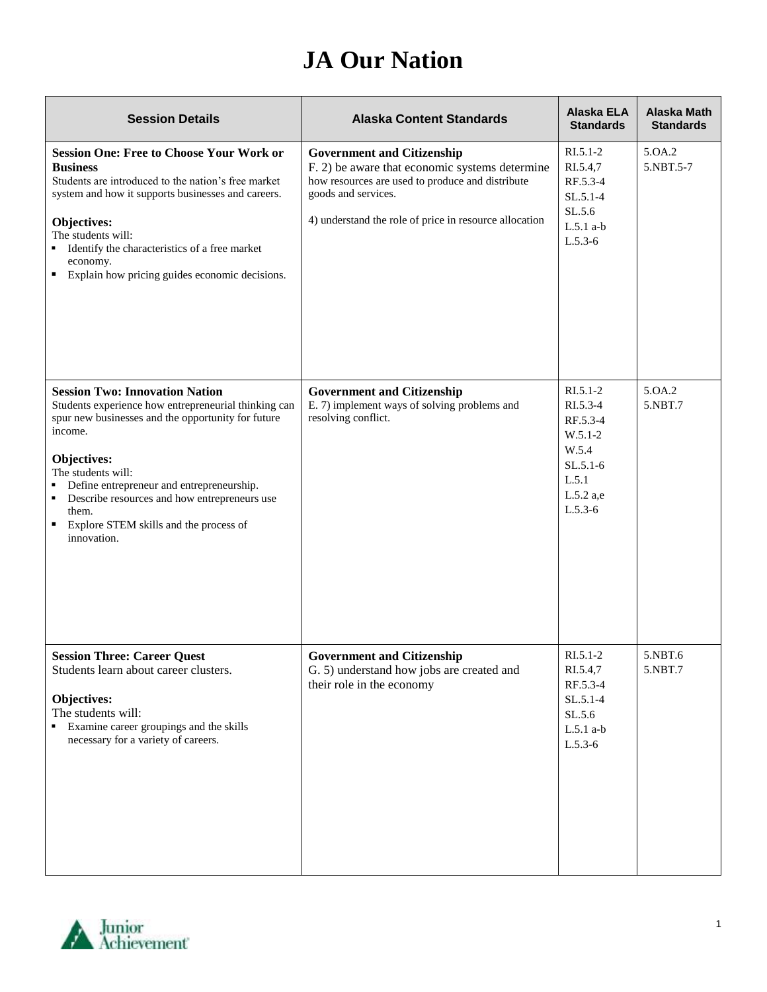## **JA Our Nation**

| <b>Session Details</b>                                                                                                                                                                                                                                                                                                                                                       | <b>Alaska Content Standards</b>                                                                                                                                                                                          | <b>Alaska ELA</b><br><b>Standards</b>                                                                     | Alaska Math<br><b>Standards</b> |
|------------------------------------------------------------------------------------------------------------------------------------------------------------------------------------------------------------------------------------------------------------------------------------------------------------------------------------------------------------------------------|--------------------------------------------------------------------------------------------------------------------------------------------------------------------------------------------------------------------------|-----------------------------------------------------------------------------------------------------------|---------------------------------|
| <b>Session One: Free to Choose Your Work or</b><br><b>Business</b><br>Students are introduced to the nation's free market<br>system and how it supports businesses and careers.<br>Objectives:<br>The students will:<br>Identify the characteristics of a free market<br>economy.<br>Explain how pricing guides economic decisions.<br>٠                                     | <b>Government and Citizenship</b><br>F. 2) be aware that economic systems determine<br>how resources are used to produce and distribute<br>goods and services.<br>4) understand the role of price in resource allocation | $RI.5.1-2$<br>RI.5.4,7<br>RF.5.3-4<br>$SL.5.1-4$<br>SL.5.6<br>$L.5.1$ a-b<br>$L.5.3-6$                    | 5.0A.2<br>5.NBT.5-7             |
| <b>Session Two: Innovation Nation</b><br>Students experience how entrepreneurial thinking can<br>spur new businesses and the opportunity for future<br>income.<br>Objectives:<br>The students will:<br>Define entrepreneur and entrepreneurship.<br>Describe resources and how entrepreneurs use<br>٠<br>them.<br>Explore STEM skills and the process of<br>٠<br>innovation. | <b>Government and Citizenship</b><br>E. 7) implement ways of solving problems and<br>resolving conflict.                                                                                                                 | $RI.5.1-2$<br>RI.5.3-4<br>RF.5.3-4<br>$W.5.1-2$<br>W.5.4<br>$SL.5.1-6$<br>L.5.1<br>L.5.2 a,e<br>$L.5.3-6$ | 5.0A.2<br>5.NBT.7               |
| <b>Session Three: Career Quest</b><br>Students learn about career clusters.<br>Objectives:<br>The students will:<br>Examine career groupings and the skills<br>necessary for a variety of careers.                                                                                                                                                                           | <b>Government and Citizenship</b><br>G. 5) understand how jobs are created and<br>their role in the economy                                                                                                              | $RI.5.1-2$<br>RI.5.4,7<br>RF.5.3-4<br>SL.5.1-4<br>SL.5.6<br>$L.5.1$ a-b<br>$L.5.3-6$                      | 5.NBT.6<br>5.NBT.7              |